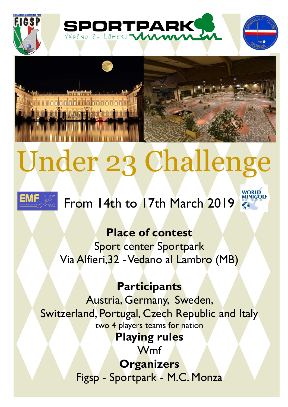



# Under 23 Challenge



## From 14th to 17th March 2019

**Place of contest**

Sport center Sportpark Via Alfieri, 32 - Vedano al Lambro (MB)

## **Participants**

Austria, Germany, Sweden, Switzerland, Portugal, Czech Republic and Italy two 4 players teams for nation

## **Playing rules**

Wmf

**Organizers** Figsp - Sportpark - M.C. Monza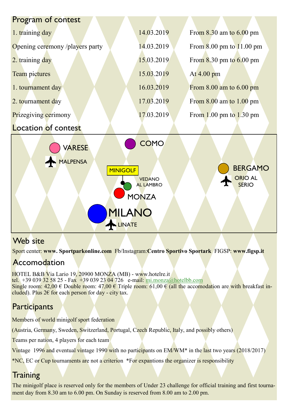| Program of contest                                                                                                                                                                                           |            |                                              |
|--------------------------------------------------------------------------------------------------------------------------------------------------------------------------------------------------------------|------------|----------------------------------------------|
| 1. training day                                                                                                                                                                                              | 14.03.2019 | From $8.30$ am to $6.00$ pm                  |
| Opening ceremony /players party                                                                                                                                                                              | 14.03.2019 | From $8.00 \text{ pm}$ to $11.00 \text{ pm}$ |
| 2. training day                                                                                                                                                                                              | 15.03.2019 | From $8.30$ pm to $6.00$ pm                  |
| Team pictures                                                                                                                                                                                                | 15.03.2019 | At 4.00 pm                                   |
| 1. tournament day                                                                                                                                                                                            | 16.03.2019 | From $8.00$ am to $6.00$ pm                  |
| 2. tournament day                                                                                                                                                                                            | 17.03.2019 | From $8.00$ am to $1.00$ pm                  |
| <b>Prizegiving cerimony</b>                                                                                                                                                                                  | 17.03.2019 | From $1.00$ pm to $1.30$ pm                  |
| <b>Location of contest</b>                                                                                                                                                                                   |            |                                              |
| <b>COMO</b><br><b>VARESE</b><br><b>MALPENSA</b><br><b>BERGAMO</b><br><b>MINIGOLF</b><br><b>ORIO AL</b><br><b>VEDANO</b><br><b>SERIO</b><br><b>AL LAMBRO</b><br><b>MONZA</b><br><b>MILANO</b><br><b>INATE</b> |            |                                              |

### Web site

Sport center: **www. Sportparkonline.com** Fb/Instagram:**Centro Sportivo Sportark** FIGSP: **www.figsp.it**

## Accomodation

HOTEL B&B Via Lario 19, 20900 MONZA (MB) - www.hotelre.it tel. +39 039 32 58 25 - Fax +39 039 23 04 726 e-mail: [mi.monza@hotelbb.com](mailto:mi.monza@hotelbb.com) Single room: 42,00  $\in$  Double room: 47,00  $\in$  Triple room: 61,00  $\in$  (all the accomodation are with breakfast included). Plus  $2 \epsilon$  for each person for day - city tax.

## **Participants**

Members of world minigolf sport federation

(Austria, Germany, Sweden, Switzerland, Portugal, Czech Republic, Italy, and possibly others)

Teams per nation, 4 players for each team

Vintage 1996 and eventual vintage 1990 with no participants on EM/WM<sup>\*</sup> in the last two years (2018/2017)

\*NC, EC or Cup tournaments are not a criterion \*For expantions the organizer is responsibility

## **Training**

The minigolf place is reserved only for the members of Under 23 challenge for official training and first tournament day from 8.30 am to 6.00 pm. On Sunday is reserved from 8.00 am to 2.00 pm.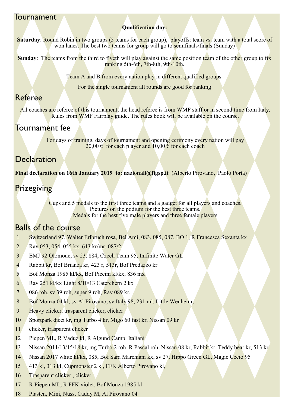#### Tournament

#### **Qualification day:**

**Saturday: Round Robin in two groups (5 teams for each group), playoffs: team vs. team with a total score of** won lanes. The best two teams for group will go to semifinals/finals (Sunday)

**Sunday:** The teams from the third to fiveth will play against the same position team of the other group to fix ranking 5th-6th, 7th-8th, 9th-10th.

Team A and B from every nation play in different qualified groups.

For the single tournament all rounds are good for ranking

#### Referee

All coaches are referee of this tournament; the head referee is from WMF staff or in second time from Italy. Rules from WMF Fairplay guide. The rules book will be available on the course.

#### Tournament fee

For days of training, days of tournament and opening cerimony every nation will pay 20,00  $\epsilon$  for each player and 10,00  $\epsilon$  for each coach

#### **Declaration**

**Final declaration on 16th January 2019 to: nazionali@figsp.it** (Alberto Pirovano, Paolo Porta)

#### **Prizegiving**

Cups and 5 medals to the first three teams and a gadget for all players and coaches. Pictures on the podium for the best three teams. Medals for the best five male players and three female players

#### Balls of the course

- 1 Switzerland 97, Walter Erlbruch rosa, Bel Ami, 083, 085, 087, BO 1, R Francesca Sexanta kx
- 2 Rav 053, 054, 055 kx, 613 kr/mr, 087/2
- 3 EMJ 92 Olomouc, sv 23, 884, Czech Team 95, Inifinite Water GL
- 4 Rabbit kr, Bof Brianza kr, 423 r, 513r, Bof Predazzo kr
- 5 Bof Monza 1985 kl/kx, Bof Piccini kl/kx, 836 mx
- 6 Rav  $251$  kl/kx Light  $8/10/13$  Caterchern 2 kx
- 7 086 roh, sv 39 roh, super 9 roh, Rav 089 kr,
- 8 Bof Monza 04 kl, sv Al Pirovano, sv Italy 98, 231 ml, Little Wenheim,
- 9 Heavy clicker, trasparent clicker, clicker
- 10 Sportpark dieci kr, mg Turbo 4 kr, Migo 60 fast kr, Nissan 09 kr
- 11 clicker, trasparent clicker
- 12 Piepen ML, R Vaduz kl, R Algund Camp. Italiani
- 13 Nissan 2011/13/15/18 kr, mg Turbo 2 roh, R Pascal roh, Nissan 08 kr, Rabbit kr, Teddy bear kr, 513 kr
- 14 Nissan 2017 white kl/kx, 085, Bof Sara Marchiani kx, sv 27, Hippo Green GL, Magic Cecio 95
- 15 413 kl, 313 kl, Cupmonster 2 kl, FFK Alberto Pirovano kl,
- 16 Trasparent clicker , clicker
- 17 R Piepen ML, R FFK violet, Bof Monza 1985 kl
- 18 Plasten, Mini, Nuss, Caddy M, Al Pirovano 04